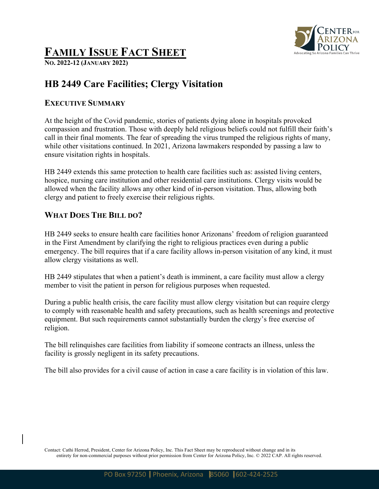

# **FAMILY ISSUE FACT SHEET**

**NO. 2022-12 (JANUARY 2022)**

# **HB 2449 Care Facilities; Clergy Visitation**

#### **EXECUTIVE SUMMARY**

At the height of the Covid pandemic, stories of patients dying alone in hospitals provoked compassion and frustration. Those with deeply held religious beliefs could not fulfill their faith's call in their final moments. The fear of spreading the virus trumped the religious rights of many, while other visitations continued. In 2021, Arizona lawmakers responded by passing a law to ensure visitation rights in hospitals.

HB 2449 extends this same protection to health care facilities such as: assisted living centers, hospice, nursing care institution and other residential care institutions. Clergy visits would be allowed when the facility allows any other kind of in-person visitation. Thus, allowing both clergy and patient to freely exercise their religious rights.

## **WHAT DOES THE BILL DO?**

HB 2449 seeks to ensure health care facilities honor Arizonans' freedom of religion guaranteed in the First Amendment by clarifying the right to religious practices even during a public emergency. The bill requires that if a care facility allows in-person visitation of any kind, it must allow clergy visitations as well.

HB 2449 stipulates that when a patient's death is imminent, a care facility must allow a clergy member to visit the patient in person for religious purposes when requested.

During a public health crisis, the care facility must allow clergy visitation but can require clergy to comply with reasonable health and safety precautions, such as health screenings and protective equipment. But such requirements cannot substantially burden the clergy's free exercise of religion.

The bill relinquishes care facilities from liability if someone contracts an illness, unless the facility is grossly negligent in its safety precautions.

The bill also provides for a civil cause of action in case a care facility is in violation of this law.

Contact: Cathi Herrod, President, Center for Arizona Policy, Inc. This Fact Sheet may be reproduced without change and in its entirety for non-commercial purposes without prior permission from Center for Arizona Policy, Inc. © 2022 CAP. All rights reserved.